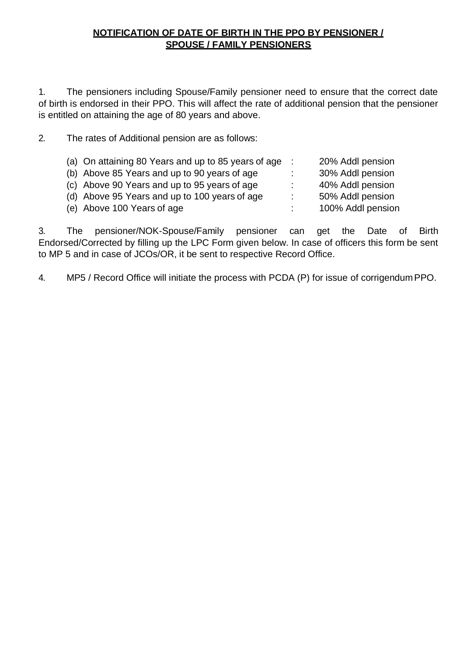# **NOTIFICATION OF DATE OF BIRTH IN THE PPO BY PENSIONER / SPOUSE / FAMILY PENSIONERS**

1. The pensioners including Spouse/Family pensioner need to ensure that the correct date of birth is endorsed in their PPO. This will affect the rate of additional pension that the pensioner is entitled on attaining the age of 80 years and above.

2. The rates of Additional pension are as follows:

| (a) On attaining 80 Years and up to 85 years of age : |    | 20% Addl pension  |
|-------------------------------------------------------|----|-------------------|
| (b) Above 85 Years and up to 90 years of age          |    | 30% Addl pension  |
| (c) Above 90 Years and up to 95 years of age          | ÷. | 40% Addl pension  |
| (d) Above 95 Years and up to 100 years of age         | ÷  | 50% Addl pension  |
| (e) Above 100 Years of age                            |    | 100% Addl pension |

3. The pensioner/NOK-Spouse/Family pensioner can get the Date of Birth Endorsed/Corrected by filling up the LPC Form given below. In case of officers this form be sent to MP 5 and in case of JCOs/OR, it be sent to respective Record Office.

4. MP5 / Record Office will initiate the process with PCDA (P) for issue of corrigendumPPO.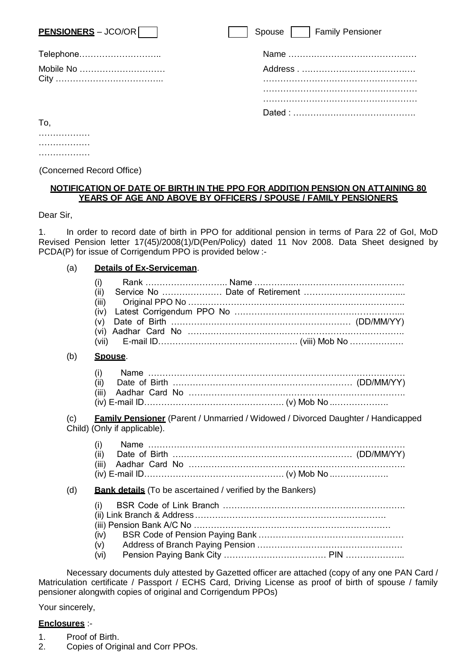| $PENSIONERS - JCO/OR$ | Spouse     Family Pensioner |
|-----------------------|-----------------------------|
| Telephone             |                             |
| Mobile No             |                             |
| To.                   |                             |

……………… ………………

(Concerned Record Office)

### **NOTIFICATION OF DATE OF BIRTH IN THE PPO FOR ADDITION PENSION ON ATTAINING 80 YEARS OF AGE AND ABOVE BY OFFICERS / SPOUSE / FAMILY PENSIONERS**

Dear Sir,

1. In order to record date of birth in PPO for additional pension in terms of Para 22 of GoI, MoD Revised Pension letter 17(45)/2008(1)/D(Pen/Policy) dated 11 Nov 2008. Data Sheet designed by PCDA(P) for issue of Corrigendum PPO is provided below :-

### (a) **Details of Ex-Serviceman**.

|     | (i)                          |                                                                                                |  |
|-----|------------------------------|------------------------------------------------------------------------------------------------|--|
|     | (ii)<br>(iii)                |                                                                                                |  |
|     | (iv)<br>(v)<br>(vi)<br>(vii) |                                                                                                |  |
| (b) | Spouse.                      |                                                                                                |  |
|     | (i)<br>(ii)<br>(iii)         |                                                                                                |  |
| (c) | Child) (Only if applicable). | <b>Family Pensioner</b> (Parent / Unmarried / Widowed / Divorced Daughter / Handicapped        |  |
|     | (i)<br>(ii)<br>(iii)         |                                                                                                |  |
| (d) |                              | <b>Bank details</b> (To be ascertained / verified by the Bankers)                              |  |
|     | (i)<br>(iv)<br>(v)<br>(vi)   |                                                                                                |  |
|     |                              | Necessary documents duly attested by Gazetted officer are attached (copy of any one PAN Card / |  |

Matriculation certificate / Passport / ECHS Card, Driving License as proof of birth of spouse / family pensioner alongwith copies of original and Corrigendum PPOs)

Your sincerely,

#### **Enclosures** :-

- 1. Proof of Birth.
- 2. Copies of Original and Corr PPOs.